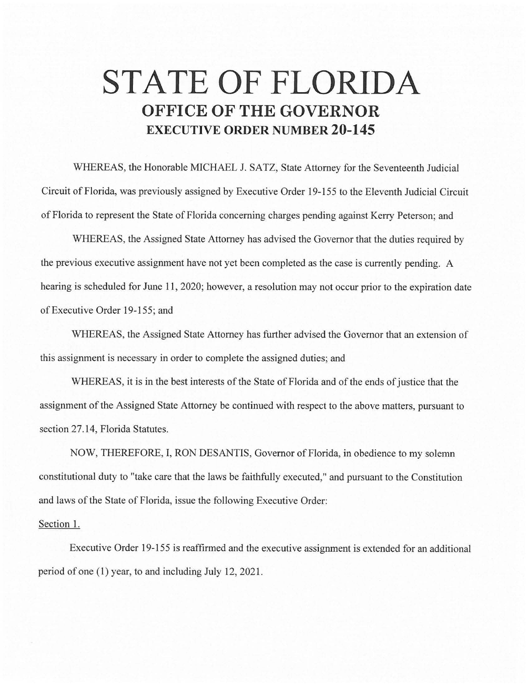## **STATE OF FLORIDA OFFICE OF THE GOVERNOR EXECUTIVE ORDER NUMBER 20-145**

WHEREAS, the Honorable MICHAEL J. SATZ, State Attorney for the Seventeenth Judicial Circuit of Florida, was previously assigned by Executive Order 19-155 to the Eleventh Judicial Circuit of Florida to represent the State of Florida concerning charges pending against Kerry Peterson; and

WHEREAS, the Assigned State Attorney has advised the Governor that the duties required by the previous executive assignment have not yet been completed as the case is currently pending. A hearing is scheduled for June 11, 2020; however, a resolution may not occur prior to the expiration date of Executive Order 19-155; and

WHEREAS, the Assigned State Attorney has further advised the Governor that an extension of this assignment is necessary in order to complete the assigned duties; and

WHEREAS, it is in the best interests of the State of Florida and of the ends of justice that the assignment of the Assigned State Attorney be continued with respect to the above matters, pursuant to section 27.14, Florida Statutes.

NOW, THEREFORE, I, RON DESANTIS, Governor of Florida, in obedience to my solemn constitutional duty to "take care that the laws be faithfully executed," and pursuant to the Constitution and laws of the State of Florida, issue the following Executive Order:

## Section 1.

Executive Order 19-155 is reaffirmed and the executive assignment is extended for an additional period of one (1) year, to and including July 12, 2021.